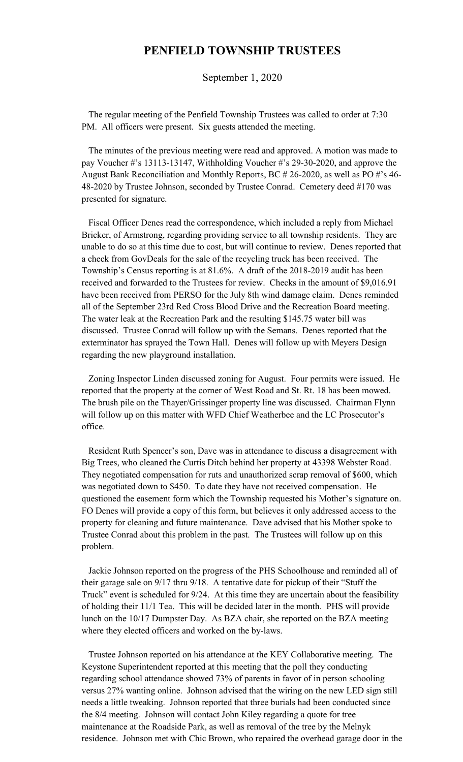## **PENFIELD TOWNSHIP TRUSTEES**

September 1, 2020

 The regular meeting of the Penfield Township Trustees was called to order at 7:30 PM. All officers were present. Six guests attended the meeting.

 The minutes of the previous meeting were read and approved. A motion was made to pay Voucher #'s 13113-13147, Withholding Voucher #'s 29-30-2020, and approve the August Bank Reconciliation and Monthly Reports, BC # 26-2020, as well as PO #'s 46- 48-2020 by Trustee Johnson, seconded by Trustee Conrad. Cemetery deed #170 was presented for signature.

 Fiscal Officer Denes read the correspondence, which included a reply from Michael Bricker, of Armstrong, regarding providing service to all township residents. They are unable to do so at this time due to cost, but will continue to review. Denes reported that a check from GovDeals for the sale of the recycling truck has been received. The Township's Census reporting is at 81.6%. A draft of the 2018-2019 audit has been received and forwarded to the Trustees for review. Checks in the amount of \$9,016.91 have been received from PERSO for the July 8th wind damage claim. Denes reminded all of the September 23rd Red Cross Blood Drive and the Recreation Board meeting. The water leak at the Recreation Park and the resulting \$145.75 water bill was discussed. Trustee Conrad will follow up with the Semans. Denes reported that the exterminator has sprayed the Town Hall. Denes will follow up with Meyers Design regarding the new playground installation.

 Zoning Inspector Linden discussed zoning for August. Four permits were issued. He reported that the property at the corner of West Road and St. Rt. 18 has been mowed. The brush pile on the Thayer/Grissinger property line was discussed. Chairman Flynn will follow up on this matter with WFD Chief Weatherbee and the LC Prosecutor's office.

 Resident Ruth Spencer's son, Dave was in attendance to discuss a disagreement with Big Trees, who cleaned the Curtis Ditch behind her property at 43398 Webster Road. They negotiated compensation for ruts and unauthorized scrap removal of \$600, which was negotiated down to \$450. To date they have not received compensation. He questioned the easement form which the Township requested his Mother's signature on. FO Denes will provide a copy of this form, but believes it only addressed access to the property for cleaning and future maintenance. Dave advised that his Mother spoke to Trustee Conrad about this problem in the past. The Trustees will follow up on this problem.

 Jackie Johnson reported on the progress of the PHS Schoolhouse and reminded all of their garage sale on 9/17 thru 9/18. A tentative date for pickup of their "Stuff the Truck" event is scheduled for 9/24. At this time they are uncertain about the feasibility of holding their 11/1 Tea. This will be decided later in the month. PHS will provide lunch on the 10/17 Dumpster Day. As BZA chair, she reported on the BZA meeting where they elected officers and worked on the by-laws.

 Trustee Johnson reported on his attendance at the KEY Collaborative meeting. The Keystone Superintendent reported at this meeting that the poll they conducting regarding school attendance showed 73% of parents in favor of in person schooling versus 27% wanting online. Johnson advised that the wiring on the new LED sign still needs a little tweaking. Johnson reported that three burials had been conducted since the 8/4 meeting. Johnson will contact John Kiley regarding a quote for tree maintenance at the Roadside Park, as well as removal of the tree by the Melnyk residence. Johnson met with Chic Brown, who repaired the overhead garage door in the